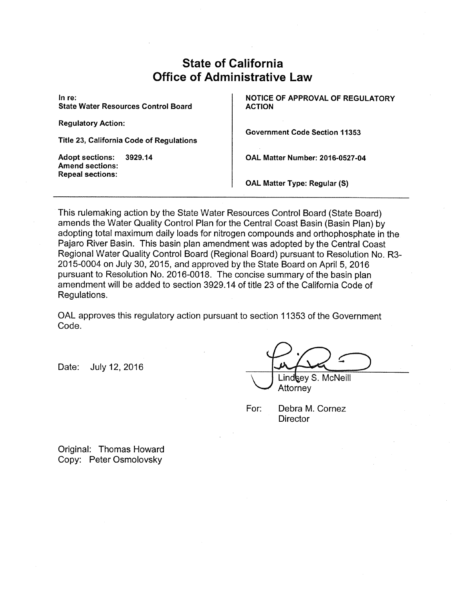# .State of California Office of Administrative Law

In re: State Water Resources Control Board

Regulatory Action:

Title 23, California Code of Regulations

Adopt sections: 3929.14 Amend sections: Repeal sections:

NOTICE OF APPROVAL OF REGULATORY ACTION

Government Code Section 11353

OAL Matter Number: 2016-0527-04

OAL Matter Type: Regular (S)

This rulemaking action by the State Water Resources Control Board (State Board) amends the Water Quality Control Plan for the Central Coast Basin (Basin Plan) by adopting total maximum daily loads for nitrogen compounds and orthophosphate in the. Pajaro River Basin. This basin plan amendment was adopted by the Central Coast Regional Water Quality Control Board (Regional Board} pursuant to Resolution No. R3- 2015-0004 on July 30, 2015, and approved by the State Board on April 5, 2016 pursuant to Resolution No. 2016-0018. The concise summary of the basin plan amendment will be added to section 3929.14 of title 23 of the California Code of Regulations.

OAL approves this regulatory action pursuant to section 11353 of the Government Code.

Date: July 12, 2016

Lind **key S. McNeill** Attorney

For: Debra M. Cornez **Director** 

Original: Thomas Howard Copy: Peter Osmolovsky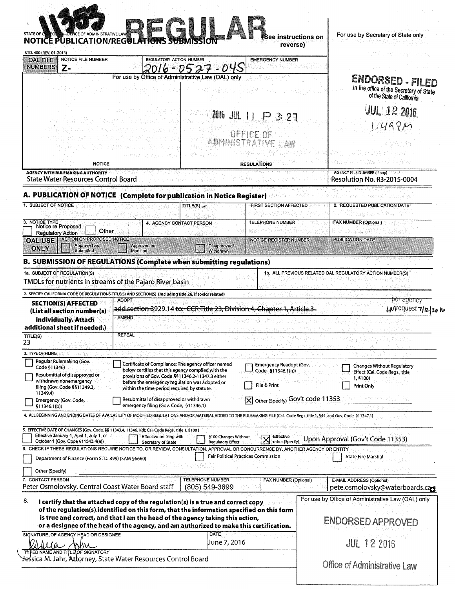| <b>OFFICE OF ADMINISTRATIVE LAW</b><br>STATE OF C<br><b>NOTICE PUBLICATION/REGULATIONS SUBM</b>                                                                                                                                                                                                                                                          | <b>SP (5</b>                                                                                                                                                                       |                                                                                                                                                               | See instructions on<br>reverse)                                                                               | For use by Secretary of State only                                                                                |
|----------------------------------------------------------------------------------------------------------------------------------------------------------------------------------------------------------------------------------------------------------------------------------------------------------------------------------------------------------|------------------------------------------------------------------------------------------------------------------------------------------------------------------------------------|---------------------------------------------------------------------------------------------------------------------------------------------------------------|---------------------------------------------------------------------------------------------------------------|-------------------------------------------------------------------------------------------------------------------|
| STD. 400 (REV, 01-2013)<br>NOTICE FILE NUMBER<br><b>OAL FILE</b>                                                                                                                                                                                                                                                                                         |                                                                                                                                                                                    | REGULATORY ACTION NUMBER                                                                                                                                      | <b>EMERGENCY NUMBER</b>                                                                                       |                                                                                                                   |
| <b>NUMBERS</b><br>z-                                                                                                                                                                                                                                                                                                                                     | For use by Office of Administrative Law (OAL) only                                                                                                                                 | ni vonish qaytdan yomay                                                                                                                                       |                                                                                                               | ENDORSED - FILED<br>in the office of the Secretary of State<br>of the State of California                         |
|                                                                                                                                                                                                                                                                                                                                                          |                                                                                                                                                                                    | $2016$ $JJJL$ $11$                                                                                                                                            | 3:27<br>OFFICE OF                                                                                             | <b>JUL 12 2016</b><br>$1:49R$ M                                                                                   |
|                                                                                                                                                                                                                                                                                                                                                          |                                                                                                                                                                                    |                                                                                                                                                               |                                                                                                               |                                                                                                                   |
| <b>NOTICE</b><br><b>AGENCY WITH RULEMAKING AUTHORITY</b><br><b>State Water Resources Control Board</b>                                                                                                                                                                                                                                                   |                                                                                                                                                                                    |                                                                                                                                                               | <b>REGULATIONS</b>                                                                                            | <b>AGENCY FILE NUMBER (If any)</b><br><b>Resolution No. R3-2015-0004</b>                                          |
| A. PUBLICATION OF NOTICE (Complete for publication in Notice Register)                                                                                                                                                                                                                                                                                   |                                                                                                                                                                                    |                                                                                                                                                               |                                                                                                               |                                                                                                                   |
| 1. SUBJECT OF NOTICE                                                                                                                                                                                                                                                                                                                                     |                                                                                                                                                                                    | TITLE(S)                                                                                                                                                      | <b>FIRST SECTION AFFECTED</b>                                                                                 | 2. REQUESTED PUBLICATION DATE                                                                                     |
| 3. NOTICE TYPE<br>Notice re Proposed<br>Other<br><b>Regulatory Action</b>                                                                                                                                                                                                                                                                                |                                                                                                                                                                                    | 4. AGENCY CONTACT PERSON                                                                                                                                      | <b>TELEPHONE NUMBER</b><br>오스 경제로 일어 올려 갔다                                                                    | <b>FAX NUMBER (Optional)</b>                                                                                      |
| <b>ACTION ON PROPOSED NOTICE</b><br><b>OAL USE</b><br>Approved as<br><b>ONLY</b><br>Submitted                                                                                                                                                                                                                                                            | Approved as<br><b>Modified</b>                                                                                                                                                     | Disapproved/<br>Withdrawn                                                                                                                                     | <b>NOTICE REGISTER NUMBER</b>                                                                                 | <b>PUBLICATION DATE</b>                                                                                           |
| B. SUBMISSION OF REGULATIONS (Complete when submitting regulations)                                                                                                                                                                                                                                                                                      |                                                                                                                                                                                    |                                                                                                                                                               |                                                                                                               |                                                                                                                   |
|                                                                                                                                                                                                                                                                                                                                                          |                                                                                                                                                                                    |                                                                                                                                                               |                                                                                                               |                                                                                                                   |
|                                                                                                                                                                                                                                                                                                                                                          | <b>ADOPT</b>                                                                                                                                                                       |                                                                                                                                                               |                                                                                                               | 1b. ALL PREVIOUS RELATED OAL REGULATORY ACTION NUMBER(S)<br><del>per agency</del>                                 |
| <b>SECTION(S) AFFECTED</b><br>(List all section number(s)<br>individually. Attach                                                                                                                                                                                                                                                                        | <b>AMEND</b><br>REFEAL                                                                                                                                                             |                                                                                                                                                               | add section 3929.14 to: CCR Title 23, Division 4, Chapter 1, Article 3-                                       |                                                                                                                   |
| 1a. SUBJECT OF REGULATION(S)<br>TMDLs for nutrients in streams of the Pajaro River basin<br>2. SPECIFY CALIFORNIA CODE OF REGULATIONS TITLE(S) AND SECTION(S) (Including title 26, if toxics related)<br>additional sheet if needed.)<br>TITLE(S)<br>23                                                                                                  |                                                                                                                                                                                    |                                                                                                                                                               |                                                                                                               | $LM$ equest $7/n/20$                                                                                              |
| 3. TYPE OF FILING<br>Regular Rulemaking (Gov.<br>Code §11346)<br>Resubmittal of disapproved or<br>withdrawn nonemergency<br>filing (Gov. Code §§11349.3,<br>11349.4)<br>Emergency (Gov. Code,<br>§11346.1(b))                                                                                                                                            | before the emergency regulation was adopted or<br>within the time period required by statute.<br>Resubmittal of disapproved or withdrawn<br>emergency filing (Gov. Code, §11346.1) | Certificate of Compliance: The agency officer named<br>below certifies that this agency complied with the<br>provisions of Gov. Code §§11346.2-11347.3 either | <b>Emergency Readopt (Gov.</b><br>Code, §11346.1(h))<br>File & Print<br>Other (Specify) Gov't code 11353<br>M | <b>Changes Without Regulatory</b><br>Effect (Cal. Code Regs., title<br>1.5100)<br>Print Only                      |
| 4. ALL BEGINNING AND ENDING DATES OF AVAILABILITY OF MODIFIED REGULATIONS AND/OR MATERIAL ADDED TO THE RULEMAKING FILE (Cal. Code Regs. title 1, 544 and Gov. Code §11347.1)<br>5. EFFECTIVE DATE OF CHANGES (Gov. Code, §§ 11343.4, 11346.1(d); Cal. Code Regs., title 1, §100)<br>Effective January 1, April 1, July 1, or                             | Effective on filing with                                                                                                                                                           | §100 Changes Without                                                                                                                                          | Effective                                                                                                     |                                                                                                                   |
| October 1 (Gov. Code §11343.4(a))<br>Department of Finance (Form STD. 399) (SAM §6660)                                                                                                                                                                                                                                                                   | Secretary of State                                                                                                                                                                 | <b>Regulatory Effect</b>                                                                                                                                      | other (Specify)<br><b>Fair Political Practices Commission</b>                                                 | Upon Approval (Gov't Code 11353)<br><b>State Fire Marshal</b>                                                     |
| Other (Specify)                                                                                                                                                                                                                                                                                                                                          |                                                                                                                                                                                    | <b>TELEPHONE NUMBER</b><br>(805) 549-3699                                                                                                                     | FAX NUMBER (Optional)                                                                                         | <b>E-MAIL ADDRESS (Optional)</b>                                                                                  |
| I certify that the attached copy of the regulation(s) is a true and correct copy<br>of the regulation(s) identified on this form, that the information specified on this form<br>is true and correct, and that I am the head of the agency taking this action,<br>or a designee of the head of the agency, and am authorized to make this certification. |                                                                                                                                                                                    |                                                                                                                                                               |                                                                                                               | pete.osmolovsky@waterboards.cag<br>For use by Office of Administrative Law (OAL) only<br><b>ENDORSED APPROVED</b> |
| 6. CHECK IF THESE REGULATIONS REQUIRE NOTICE TO, OR REVIEW, CONSULTATION, APPROVAL OR CONCURRENCE BY, ANOTHER AGENCY OR ENTITY<br>7. CONTACT PERSON<br>Peter Osmolovsky, Central Coast Water Board staff<br>8.<br>SIGNATURE_OF AGENGY HEAD OR DESIGNEE<br>$I\alpha$<br>WW<br>TYPED NAME AND TITLE OF SIGNATORY                                           |                                                                                                                                                                                    | <b>DATE</b><br>June 7, 2016                                                                                                                                   |                                                                                                               | <b>JUL 12 2016</b>                                                                                                |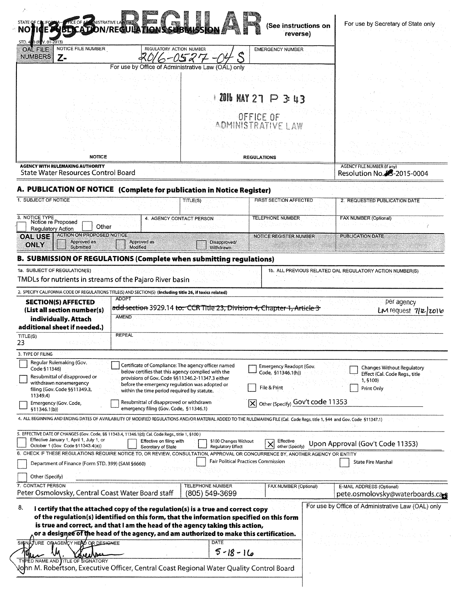| STD. 400 (RDV, 01-2013)                                                               |                                                                                                                       |                                                                                                  | A DANSTRATIVE LA <b>DE LA CARRA DE LA CARRA DE LA CARRA DE LA CARRA DE LA CARRA DE LA CARRA DE LA CARRA DE LA CARRA DE LA CARRA DE LA CARRA DE LA CARRA DE LA CARRA DE LA CARRA DE LA CARRA DE LA CARRA DE LA CARRA DE LA CARRA </b>                                                                                                                             | reverse)                                                                                                                                                                     | (See instructions on                                                                         |
|---------------------------------------------------------------------------------------|-----------------------------------------------------------------------------------------------------------------------|--------------------------------------------------------------------------------------------------|------------------------------------------------------------------------------------------------------------------------------------------------------------------------------------------------------------------------------------------------------------------------------------------------------------------------------------------------------------------|------------------------------------------------------------------------------------------------------------------------------------------------------------------------------|----------------------------------------------------------------------------------------------|
| <b>OAL FILE</b><br><b>NUMBERS</b>                                                     | NOTICE FILE NUMBER<br>$Z-$                                                                                            |                                                                                                  | REGULATORY ACTION NUMBER<br>0527                                                                                                                                                                                                                                                                                                                                 | <b>EMERGENCY NUMBER</b>                                                                                                                                                      |                                                                                              |
|                                                                                       |                                                                                                                       |                                                                                                  | For use by Office of Administrative Law (OAL) only                                                                                                                                                                                                                                                                                                               |                                                                                                                                                                              |                                                                                              |
|                                                                                       |                                                                                                                       |                                                                                                  |                                                                                                                                                                                                                                                                                                                                                                  |                                                                                                                                                                              |                                                                                              |
|                                                                                       |                                                                                                                       |                                                                                                  |                                                                                                                                                                                                                                                                                                                                                                  | 2016 MAY 27 P 3: 43                                                                                                                                                          |                                                                                              |
|                                                                                       |                                                                                                                       |                                                                                                  |                                                                                                                                                                                                                                                                                                                                                                  |                                                                                                                                                                              |                                                                                              |
|                                                                                       |                                                                                                                       |                                                                                                  |                                                                                                                                                                                                                                                                                                                                                                  | OFFICE OF<br>AOMINISTRATIVE LAW                                                                                                                                              |                                                                                              |
|                                                                                       |                                                                                                                       |                                                                                                  |                                                                                                                                                                                                                                                                                                                                                                  |                                                                                                                                                                              |                                                                                              |
|                                                                                       |                                                                                                                       |                                                                                                  |                                                                                                                                                                                                                                                                                                                                                                  |                                                                                                                                                                              |                                                                                              |
| <b>NOTICE</b>                                                                         |                                                                                                                       |                                                                                                  | <b>REGULATIONS</b>                                                                                                                                                                                                                                                                                                                                               |                                                                                                                                                                              |                                                                                              |
| <b>AGENCY WITH RULEMAKING AUTHORITY</b><br><b>State Water Resources Control Board</b> |                                                                                                                       |                                                                                                  |                                                                                                                                                                                                                                                                                                                                                                  | <b>AGENCY FILE NUMBER (If any)</b><br>Resolution No. 33-2015-0004                                                                                                            |                                                                                              |
|                                                                                       |                                                                                                                       |                                                                                                  | A. PUBLICATION OF NOTICE (Complete for publication in Notice Register)                                                                                                                                                                                                                                                                                           |                                                                                                                                                                              |                                                                                              |
| 1. SUBJECT OF NOTICE                                                                  |                                                                                                                       |                                                                                                  | TITLE(S)                                                                                                                                                                                                                                                                                                                                                         | <b>FIRST SECTION AFFECTED</b>                                                                                                                                                | 2. REQUESTED PUBLICATION DATE                                                                |
| 3. NOTICE TYPE<br><b>Regulatory Action</b>                                            | Notice re Proposed<br>Other                                                                                           |                                                                                                  | 4. AGENCY CONTACT PERSON                                                                                                                                                                                                                                                                                                                                         | TELEPHONE NUMBER                                                                                                                                                             | <b>FAX NUMBER (Optional)</b>                                                                 |
| <b>OAL USE</b><br><b>ONLY</b>                                                         | <b>ACTION ON PROPOSED NOTICE</b><br>Approved as                                                                       | Approved as                                                                                      | Disapproved/                                                                                                                                                                                                                                                                                                                                                     | <b>NOTICE REGISTER NUMBER</b>                                                                                                                                                | <b>PUBLICATION DATE</b>                                                                      |
|                                                                                       | Submitted                                                                                                             | <b>Modified</b>                                                                                  | Withdrawn<br><b>B. SUBMISSION OF REGULATIONS (Complete when submitting regulations)</b>                                                                                                                                                                                                                                                                          |                                                                                                                                                                              |                                                                                              |
|                                                                                       | TMDLs for nutrients in streams of the Pajaro River basin<br><b>SECTION(S) AFFECTED</b><br>(List all section number(s) | <b>ADOPT</b>                                                                                     | 2. SPECIFY CALIFORNIA CODE OF REGULATIONS TITLE(S) AND SECTION(S) (Including title 26, if toxics related)                                                                                                                                                                                                                                                        | add section 3929.14 to: CCR Title 23, Division 4, Chapter 1, Article 3                                                                                                       | per agency<br>LM request 7/2/2016                                                            |
|                                                                                       | individually. Attach<br>additional sheet if needed.)                                                                  | <b>AMEND</b><br><b>REPEAL</b>                                                                    |                                                                                                                                                                                                                                                                                                                                                                  |                                                                                                                                                                              |                                                                                              |
| TITLE(S)<br>23                                                                        |                                                                                                                       |                                                                                                  |                                                                                                                                                                                                                                                                                                                                                                  |                                                                                                                                                                              |                                                                                              |
| 3. TYPE OF FILING                                                                     |                                                                                                                       |                                                                                                  |                                                                                                                                                                                                                                                                                                                                                                  |                                                                                                                                                                              |                                                                                              |
| Code §11346)                                                                          | Regular Rulemaking (Gov.<br>Resubmittal of disapproved or<br>withdrawn nonemergency<br>filing (Gov. Code §§11349.3,   |                                                                                                  | Certificate of Compliance: The agency officer named<br>below certifies that this agency complied with the<br>provisions of Gov. Code §§11346.2-11347.3 either<br>before the emergency regulation was adopted or<br>within the time period required by statute.                                                                                                   | Emergency Readopt (Gov.<br>Code, §11346.1(h))<br>File & Print                                                                                                                | <b>Changes Without Regulatory</b><br>Effect (Cal. Code Regs., title<br>1,5100)<br>Print Only |
| 11349.4)<br>\$11346.1(b)                                                              | Emergency (Gov. Code,                                                                                                 |                                                                                                  | Resubmittal of disapproved or withdrawn<br>emergency filing (Gov. Code, §11346.1)                                                                                                                                                                                                                                                                                | X Other (Specify) Gov't code 11353                                                                                                                                           |                                                                                              |
|                                                                                       |                                                                                                                       |                                                                                                  |                                                                                                                                                                                                                                                                                                                                                                  | 4. ALL BEGINNING AND ENDING DATES OF AVAILABILITY OF MODIFIED REGULATIONS AND/OR MATERIAL ADDED TO THE RULEMAKING FILE (Cal. Code Regs. title 1, 544 and Gov. Code §11347.1) |                                                                                              |
|                                                                                       |                                                                                                                       | 5. EFFECTIVE DATE OF CHANGES (Gov. Code, §§ 11343.4, 11346.1(d); Cal. Code Regs., title 1, §100) | Effective on filing with<br>§100 Changes Without                                                                                                                                                                                                                                                                                                                 | Effective                                                                                                                                                                    |                                                                                              |
|                                                                                       | Effective January 1, April 1, July 1, or                                                                              |                                                                                                  |                                                                                                                                                                                                                                                                                                                                                                  | $\times$<br>other (Specify)                                                                                                                                                  | Upon Approval (Gov't Code 11353)                                                             |
|                                                                                       | October 1 (Gov. Code §11343.4(a))                                                                                     | Secretary of State                                                                               | <b>Regulatory Effect</b>                                                                                                                                                                                                                                                                                                                                         |                                                                                                                                                                              |                                                                                              |
|                                                                                       | Department of Finance (Form STD. 399) (SAM §6660)                                                                     |                                                                                                  |                                                                                                                                                                                                                                                                                                                                                                  | 6. CHECK IF THESE REGULATIONS REQUIRE NOTICE TO, OR REVIEW, CONSULTATION, APPROVAL OR CONCURRENCE BY, ANOTHER AGENCY OR ENTITY<br><b>Fair Political Practices Commission</b> | <b>State Fire Marshal</b>                                                                    |
| Other (Specify)                                                                       |                                                                                                                       |                                                                                                  |                                                                                                                                                                                                                                                                                                                                                                  |                                                                                                                                                                              |                                                                                              |
|                                                                                       | Peter Osmolovsky, Central Coast Water Board staff                                                                     |                                                                                                  | <b>TELEPHONE NUMBER</b><br>(805) 549-3699                                                                                                                                                                                                                                                                                                                        | FAX NUMBER (Optional)                                                                                                                                                        | E-MAIL ADDRESS (Optional)                                                                    |
| 7. CONTACT PERSON<br>8.                                                               | SIGNATURE OF AGENCY HEAD OR DESIGNEE                                                                                  |                                                                                                  | I certify that the attached copy of the regulation(s) is a true and correct copy<br>of the regulation(s) identified on this form, that the information specified on this form<br>is true and correct, and that I am the head of the agency taking this action,<br>or a designee of the head of the agency, and am authorized to make this certification.<br>DATE |                                                                                                                                                                              | pete.osmolovsky@waterboards.cag<br>For use by Office of Administrative Law (OAL) only        |
|                                                                                       | <b>TYPED NAME AND TITLE OF SIGNATORY</b>                                                                              |                                                                                                  | $5 - 18 - 16$                                                                                                                                                                                                                                                                                                                                                    |                                                                                                                                                                              |                                                                                              |

 $\overline{\phantom{a}}$